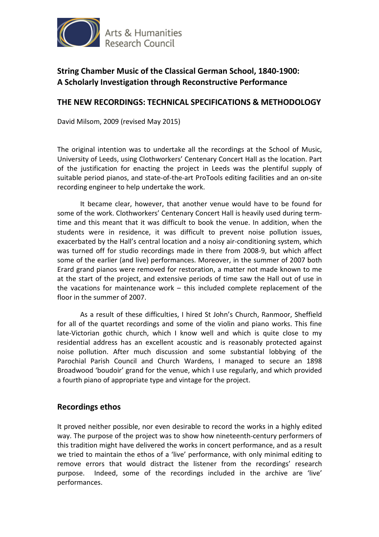

# **String Chamber Music of the Classical German School, 1840-1900: A Scholarly Investigation through Reconstructive Performance**

### **THE NEW RECORDINGS: TECHNICAL SPECIFICATIONS & METHODOLOGY**

David Milsom, 2009 (revised May 2015)

The original intention was to undertake all the recordings at the School of Music, University of Leeds, using Clothworkers' Centenary Concert Hall as the location. Part of the justification for enacting the project in Leeds was the plentiful supply of suitable period pianos, and state-of-the-art ProTools editing facilities and an on-site recording engineer to help undertake the work.

 It became clear, however, that another venue would have to be found for some of the work. Clothworkers' Centenary Concert Hall is heavily used during termtime and this meant that it was difficult to book the venue. In addition, when the students were in residence, it was difficult to prevent noise pollution issues, exacerbated by the Hall's central location and a noisy air-conditioning system, which was turned off for studio recordings made in there from 2008-9, but which affect some of the earlier (and live) performances. Moreover, in the summer of 2007 both Erard grand pianos were removed for restoration, a matter not made known to me at the start of the project, and extensive periods of time saw the Hall out of use in the vacations for maintenance work – this included complete replacement of the floor in the summer of 2007.

As a result of these difficulties, I hired St John's Church, Ranmoor, Sheffield for all of the quartet recordings and some of the violin and piano works. This fine late-Victorian gothic church, which I know well and which is quite close to my residential address has an excellent acoustic and is reasonably protected against noise pollution. After much discussion and some substantial lobbying of the Parochial Parish Council and Church Wardens, I managed to secure an 1898 Broadwood 'boudoir' grand for the venue, which I use regularly, and which provided a fourth piano of appropriate type and vintage for the project.

## **Recordings ethos**

It proved neither possible, nor even desirable to record the works in a highly edited way. The purpose of the project was to show how nineteenth-century performers of this tradition might have delivered the works in concert performance, and as a result we tried to maintain the ethos of a 'live' performance, with only minimal editing to remove errors that would distract the listener from the recordings' research purpose. Indeed, some of the recordings included in the archive are 'live' performances.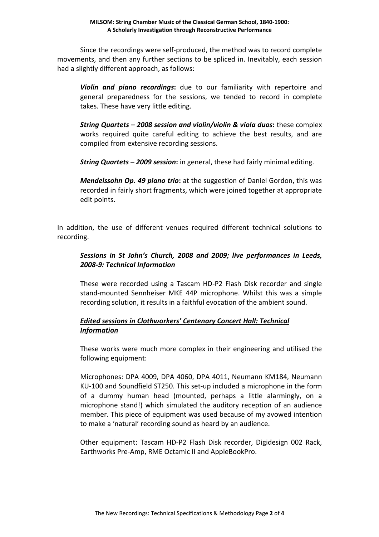Since the recordings were self-produced, the method was to record complete movements, and then any further sections to be spliced in. Inevitably, each session had a slightly different approach, as follows:

*Violin and piano recordings***:** due to our familiarity with repertoire and general preparedness for the sessions, we tended to record in complete takes. These have very little editing.

*String Quartets – 2008 session and violin/violin & viola duos***:** these complex works required quite careful editing to achieve the best results, and are compiled from extensive recording sessions.

*String Quartets – 2009 session***:** in general, these had fairly minimal editing.

*Mendelssohn Op. 49 piano trio***:** at the suggestion of Daniel Gordon, this was recorded in fairly short fragments, which were joined together at appropriate edit points.

In addition, the use of different venues required different technical solutions to recording.

#### *Sessions in St John's Church, 2008 and 2009; live performances in Leeds, 2008-9: Technical Information*

These were recorded using a Tascam HD-P2 Flash Disk recorder and single stand-mounted Sennheiser MKE 44P microphone. Whilst this was a simple recording solution, it results in a faithful evocation of the ambient sound.

#### *Edited sessions in Clothworkers' Centenary Concert Hall: Technical Information*

These works were much more complex in their engineering and utilised the following equipment:

Microphones: DPA 4009, DPA 4060, DPA 4011, Neumann KM184, Neumann KU-100 and Soundfield ST250. This set-up included a microphone in the form of a dummy human head (mounted, perhaps a little alarmingly, on a microphone stand!) which simulated the auditory reception of an audience member. This piece of equipment was used because of my avowed intention to make a 'natural' recording sound as heard by an audience.

Other equipment: Tascam HD-P2 Flash Disk recorder, Digidesign 002 Rack, Earthworks Pre-Amp, RME Octamic II and AppleBookPro.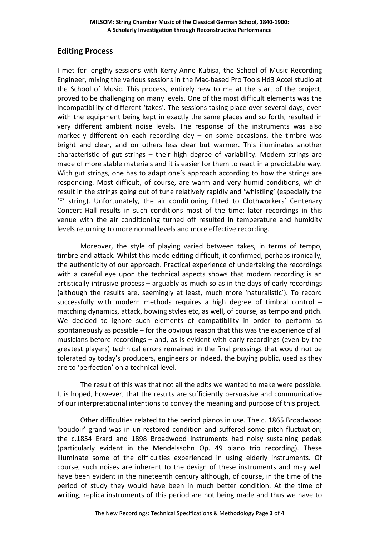# **Editing Process**

I met for lengthy sessions with Kerry-Anne Kubisa, the School of Music Recording Engineer, mixing the various sessions in the Mac-based Pro Tools Hd3 Accel studio at the School of Music. This process, entirely new to me at the start of the project, proved to be challenging on many levels. One of the most difficult elements was the incompatibility of different 'takes'. The sessions taking place over several days, even with the equipment being kept in exactly the same places and so forth, resulted in very different ambient noise levels. The response of the instruments was also markedly different on each recording day  $-$  on some occasions, the timbre was bright and clear, and on others less clear but warmer. This illuminates another characteristic of gut strings – their high degree of variability. Modern strings are made of more stable materials and it is easier for them to react in a predictable way. With gut strings, one has to adapt one's approach according to how the strings are responding. Most difficult, of course, are warm and very humid conditions, which result in the strings going out of tune relatively rapidly and 'whistling' (especially the 'E' string). Unfortunately, the air conditioning fitted to Clothworkers' Centenary Concert Hall results in such conditions most of the time; later recordings in this venue with the air conditioning turned off resulted in temperature and humidity levels returning to more normal levels and more effective recording.

Moreover, the style of playing varied between takes, in terms of tempo, timbre and attack. Whilst this made editing difficult, it confirmed, perhaps ironically, the authenticity of our approach. Practical experience of undertaking the recordings with a careful eye upon the technical aspects shows that modern recording is an artistically-intrusive process – arguably as much so as in the days of early recordings (although the results are, seemingly at least, much more 'naturalistic'). To record successfully with modern methods requires a high degree of timbral control – matching dynamics, attack, bowing styles etc, as well, of course, as tempo and pitch. We decided to ignore such elements of compatibility in order to perform as spontaneously as possible – for the obvious reason that this was the experience of all musicians before recordings – and, as is evident with early recordings (even by the greatest players) technical errors remained in the final pressings that would not be tolerated by today's producers, engineers or indeed, the buying public, used as they are to 'perfection' on a technical level.

The result of this was that not all the edits we wanted to make were possible. It is hoped, however, that the results are sufficiently persuasive and communicative of our interpretational intentions to convey the meaning and purpose of this project.

Other difficulties related to the period pianos in use. The c. 1865 Broadwood 'boudoir' grand was in un-restored condition and suffered some pitch fluctuation; the c.1854 Erard and 1898 Broadwood instruments had noisy sustaining pedals (particularly evident in the Mendelssohn Op. 49 piano trio recording). These illuminate some of the difficulties experienced in using elderly instruments. Of course, such noises are inherent to the design of these instruments and may well have been evident in the nineteenth century although, of course, in the time of the period of study they would have been in much better condition. At the time of writing, replica instruments of this period are not being made and thus we have to